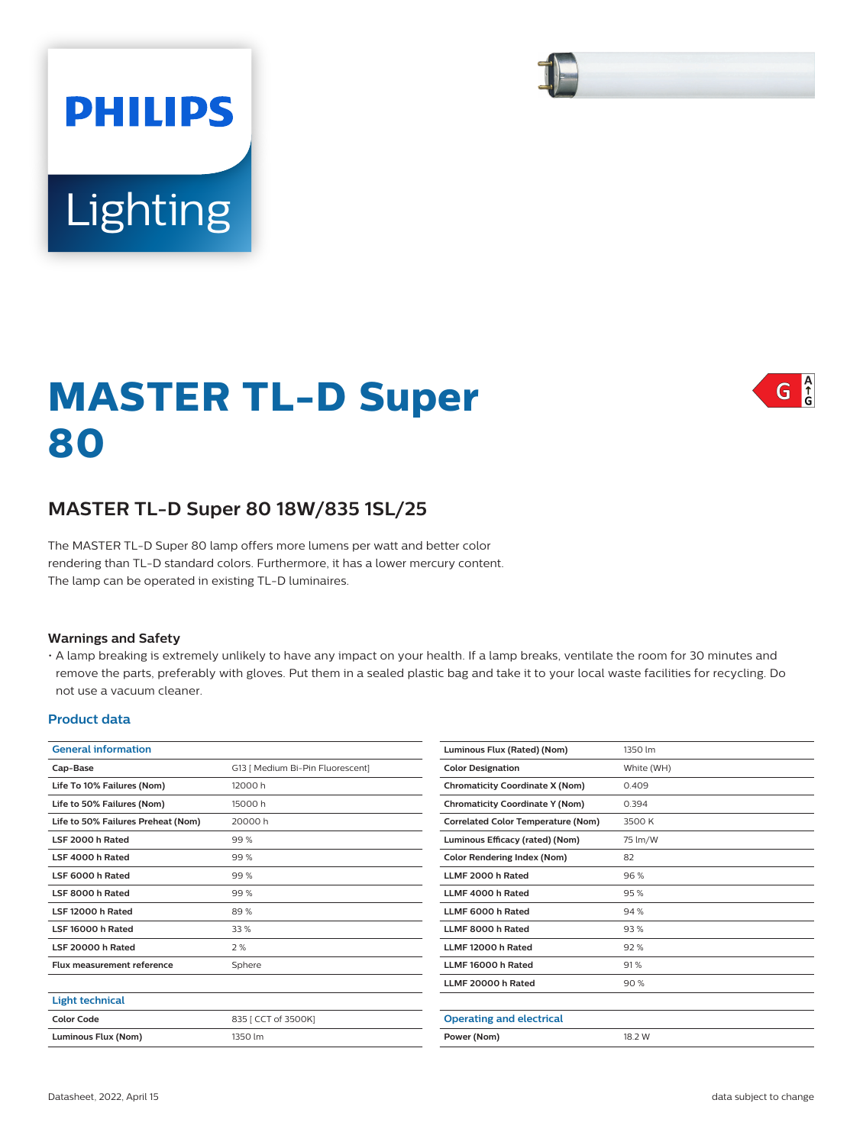# **PHILIPS Lighting**

# $G \nvert_{G}^{A}$

# **MASTER TL-D Super 80**

# **MASTER TL-D Super 80 18W/835 1SL/25**

The MASTER TL-D Super 80 lamp offers more lumens per watt and better color rendering than TL-D standard colors. Furthermore, it has a lower mercury content. The lamp can be operated in existing TL-D luminaires.

### **Warnings and Safety**

• A lamp breaking is extremely unlikely to have any impact on your health. If a lamp breaks, ventilate the room for 30 minutes and remove the parts, preferably with gloves. Put them in a sealed plastic bag and take it to your local waste facilities for recycling. Do not use a vacuum cleaner.

#### **Product data**

| <b>General information</b>         |                                  | Luminous Flux (Rated) (Nom)               | 1350 lm    |  |
|------------------------------------|----------------------------------|-------------------------------------------|------------|--|
| Cap-Base                           | G13   Medium Bi-Pin Fluorescent] | <b>Color Designation</b>                  | White (WH) |  |
| Life To 10% Failures (Nom)         | 12000 h                          | <b>Chromaticity Coordinate X (Nom)</b>    | 0.409      |  |
| Life to 50% Failures (Nom)         | 15000 h                          | <b>Chromaticity Coordinate Y (Nom)</b>    | 0.394      |  |
| Life to 50% Failures Preheat (Nom) | 20000h                           | <b>Correlated Color Temperature (Nom)</b> | 3500 K     |  |
| LSF 2000 h Rated                   | 99 %                             | Luminous Efficacy (rated) (Nom)           | 75 lm/W    |  |
| LSF 4000 h Rated                   | 99 %                             | <b>Color Rendering Index (Nom)</b>        | 82         |  |
| LSF 6000 h Rated                   | 99 %                             | LLMF 2000 h Rated                         | 96%        |  |
| LSF 8000 h Rated                   | 99 %                             | LLMF 4000 h Rated                         | 95%        |  |
| LSF 12000 h Rated                  | 89%                              | LLMF 6000 h Rated                         | 94 %       |  |
| LSF 16000 h Rated                  | 33 %                             | LLMF 8000 h Rated                         | 93%        |  |
| LSF 20000 h Rated                  | 2%                               | LLMF 12000 h Rated                        | 92%        |  |
| <b>Flux measurement reference</b>  | Sphere                           | LLMF 16000 h Rated                        | 91%        |  |
|                                    |                                  | LLMF 20000 h Rated                        | 90%        |  |
| <b>Light technical</b>             |                                  |                                           |            |  |
| <b>Color Code</b>                  | 835 [ CCT of 3500K]              | <b>Operating and electrical</b>           |            |  |
| Luminous Flux (Nom)                | 1350 lm                          | Power (Nom)<br>18.2 W                     |            |  |
|                                    |                                  |                                           |            |  |



 $\overline{\phantom{a}}$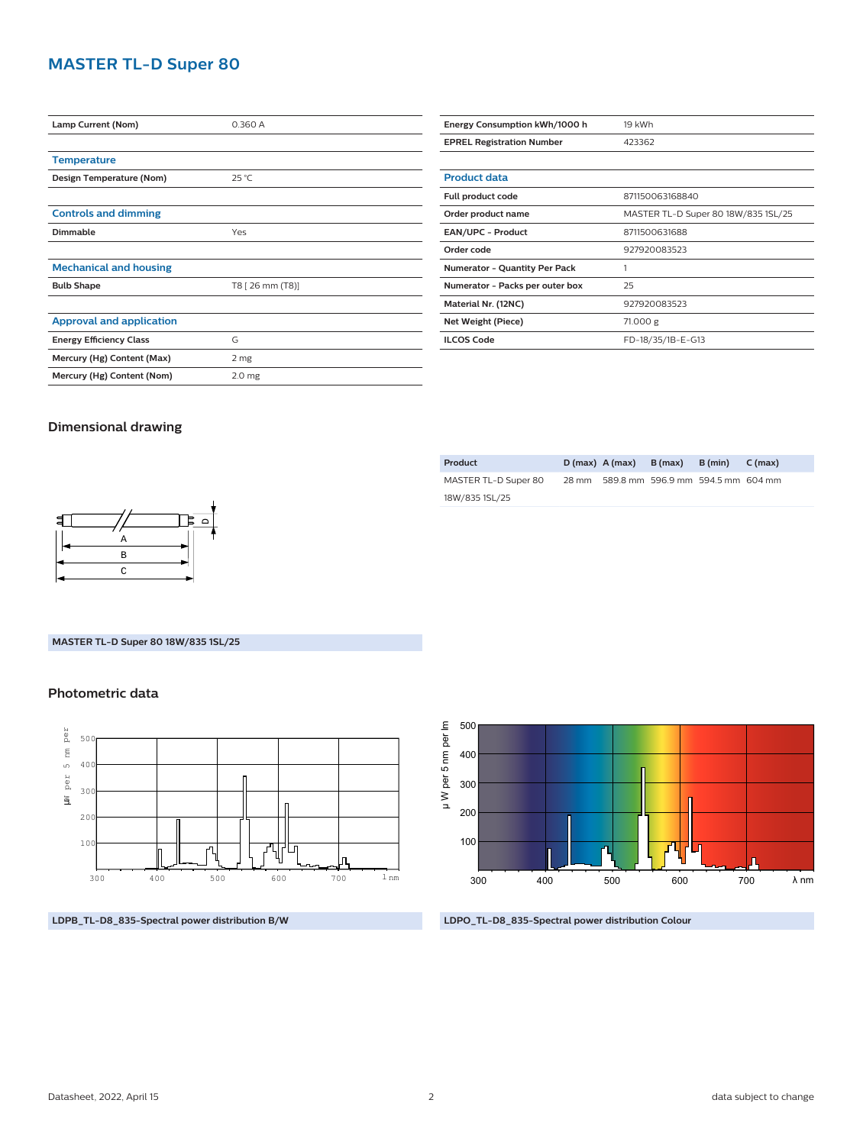# **MASTER TL-D Super 80**

| Lamp Current (Nom)              | 0.360 A           |  |  |
|---------------------------------|-------------------|--|--|
|                                 |                   |  |  |
| <b>Temperature</b>              |                   |  |  |
| Design Temperature (Nom)        | $25^{\circ}$ C    |  |  |
|                                 |                   |  |  |
| <b>Controls and dimming</b>     |                   |  |  |
| <b>Dimmable</b>                 | Yes               |  |  |
|                                 |                   |  |  |
| <b>Mechanical and housing</b>   |                   |  |  |
| <b>Bulb Shape</b>               | T8 [ 26 mm (T8)]  |  |  |
|                                 |                   |  |  |
| <b>Approval and application</b> |                   |  |  |
| <b>Energy Efficiency Class</b>  | G                 |  |  |
| Mercury (Hg) Content (Max)      | 2 mg              |  |  |
| Mercury (Hg) Content (Nom)      | 2.0 <sub>mg</sub> |  |  |
|                                 |                   |  |  |

| Energy Consumption kWh/1000 h        | 19 kWh                              |  |  |
|--------------------------------------|-------------------------------------|--|--|
| <b>EPREL Registration Number</b>     | 423362                              |  |  |
|                                      |                                     |  |  |
| <b>Product data</b>                  |                                     |  |  |
| Full product code                    | 871150063168840                     |  |  |
| Order product name                   | MASTER TL-D Super 80 18W/835 1SL/25 |  |  |
| <b>EAN/UPC - Product</b>             | 8711500631688                       |  |  |
| Order code                           | 927920083523                        |  |  |
| <b>Numerator - Quantity Per Pack</b> | 1                                   |  |  |
| Numerator - Packs per outer box      | 25                                  |  |  |
| Material Nr. (12NC)                  | 927920083523                        |  |  |
| Net Weight (Piece)                   | 71.000 g                            |  |  |
| <b>ILCOS Code</b>                    | FD-18/35/1B-E-G13                   |  |  |

## **Dimensional drawing**

| - |               |  |
|---|---------------|--|
|   | Α             |  |
|   | B             |  |
|   | $\mathcal{C}$ |  |

#### **MASTER TL-D Super 80 18W/835 1SL/25**

### **Photometric data**



**LDPB\_TL-D8\_835-Spectral power distribution B/W**

| Product              | $D(max)$ A (max) | B (max)                                 | B (min) | $C$ (max) |
|----------------------|------------------|-----------------------------------------|---------|-----------|
| MASTER TL-D Super 80 |                  | 28 mm 589.8 mm 596.9 mm 594.5 mm 604 mm |         |           |
| 18W/835 1SL/25       |                  |                                         |         |           |